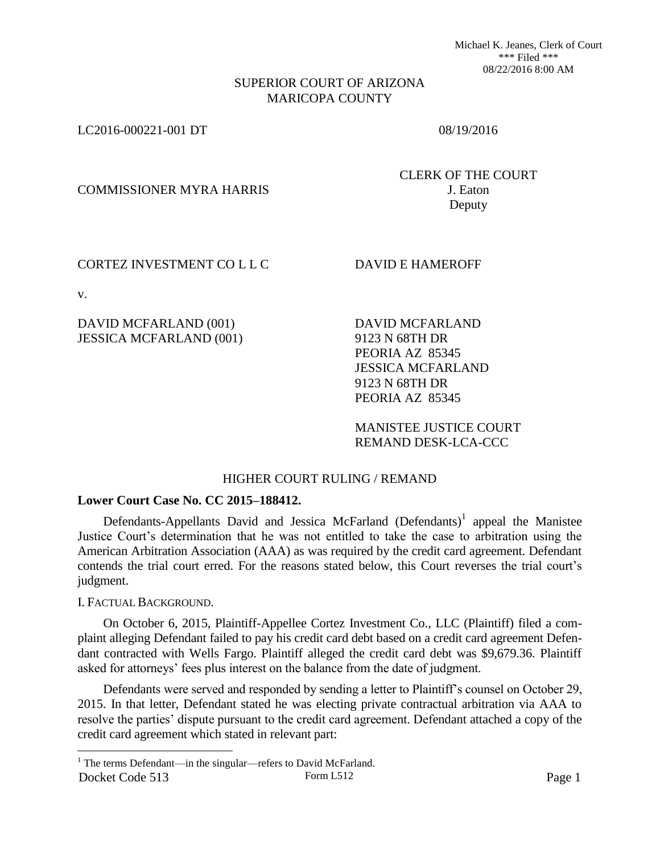Michael K. Jeanes, Clerk of Court \*\*\* Filed \*\*\* 08/22/2016 8:00 AM

### SUPERIOR COURT OF ARIZONA MARICOPA COUNTY

LC2016-000221-001 DT 08/19/2016

COMMISSIONER MYRA HARRIS J. Eaton

CLERK OF THE COURT Deputy

### CORTEZ INVESTMENT CO L L C DAVID E HAMEROFF

v.

 $\overline{a}$ 

DAVID MCFARLAND (001) JESSICA MCFARLAND (001) DAVID MCFARLAND 9123 N 68TH DR PEORIA AZ 85345 JESSICA MCFARLAND 9123 N 68TH DR PEORIA AZ 85345

MANISTEE JUSTICE COURT REMAND DESK-LCA-CCC

# HIGHER COURT RULING / REMAND

#### **Lower Court Case No. CC 2015–188412.**

Defendants-Appellants David and Jessica McFarland (Defendants)<sup>1</sup> appeal the Manistee Justice Court's determination that he was not entitled to take the case to arbitration using the American Arbitration Association (AAA) as was required by the credit card agreement. Defendant contends the trial court erred. For the reasons stated below, this Court reverses the trial court's judgment.

I. FACTUAL BACKGROUND.

On October 6, 2015, Plaintiff-Appellee Cortez Investment Co., LLC (Plaintiff) filed a complaint alleging Defendant failed to pay his credit card debt based on a credit card agreement Defendant contracted with Wells Fargo. Plaintiff alleged the credit card debt was \$9,679.36. Plaintiff asked for attorneys' fees plus interest on the balance from the date of judgment.

Defendants were served and responded by sending a letter to Plaintiff's counsel on October 29, 2015. In that letter, Defendant stated he was electing private contractual arbitration via AAA to resolve the parties' dispute pursuant to the credit card agreement. Defendant attached a copy of the credit card agreement which stated in relevant part:

Docket Code 513 Form L512 Form L512 <sup>1</sup> The terms Defendant—in the singular—refers to David McFarland.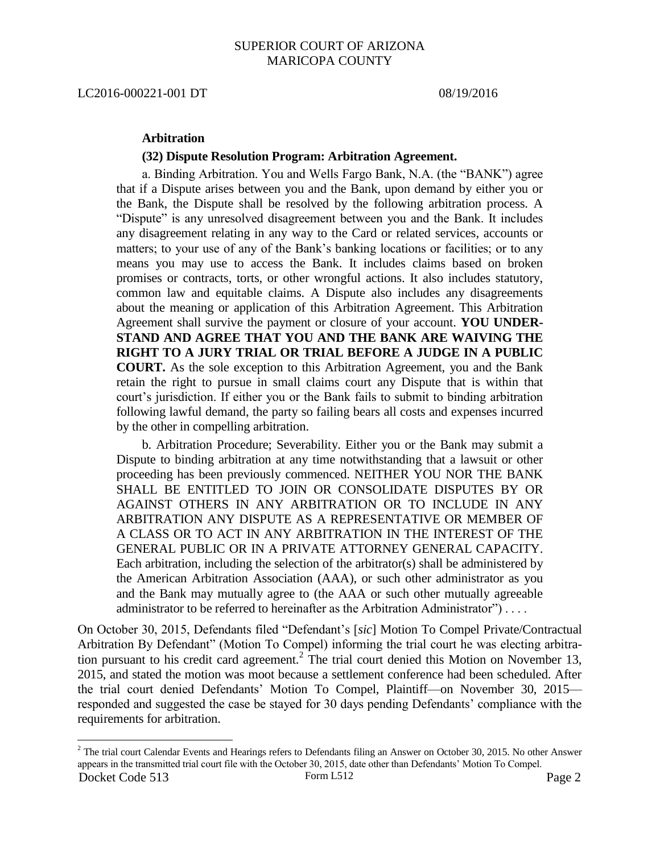LC2016-000221-001 DT 08/19/2016

 $\overline{a}$ 

### **Arbitration**

#### **(32) Dispute Resolution Program: Arbitration Agreement.**

a. Binding Arbitration. You and Wells Fargo Bank, N.A. (the "BANK") agree that if a Dispute arises between you and the Bank, upon demand by either you or the Bank, the Dispute shall be resolved by the following arbitration process. A "Dispute" is any unresolved disagreement between you and the Bank. It includes any disagreement relating in any way to the Card or related services, accounts or matters; to your use of any of the Bank's banking locations or facilities; or to any means you may use to access the Bank. It includes claims based on broken promises or contracts, torts, or other wrongful actions. It also includes statutory, common law and equitable claims. A Dispute also includes any disagreements about the meaning or application of this Arbitration Agreement. This Arbitration Agreement shall survive the payment or closure of your account. **YOU UNDER-STAND AND AGREE THAT YOU AND THE BANK ARE WAIVING THE RIGHT TO A JURY TRIAL OR TRIAL BEFORE A JUDGE IN A PUBLIC COURT.** As the sole exception to this Arbitration Agreement, you and the Bank retain the right to pursue in small claims court any Dispute that is within that court's jurisdiction. If either you or the Bank fails to submit to binding arbitration following lawful demand, the party so failing bears all costs and expenses incurred by the other in compelling arbitration.

b. Arbitration Procedure; Severability. Either you or the Bank may submit a Dispute to binding arbitration at any time notwithstanding that a lawsuit or other proceeding has been previously commenced. NEITHER YOU NOR THE BANK SHALL BE ENTITLED TO JOIN OR CONSOLIDATE DISPUTES BY OR AGAINST OTHERS IN ANY ARBITRATION OR TO INCLUDE IN ANY ARBITRATION ANY DISPUTE AS A REPRESENTATIVE OR MEMBER OF A CLASS OR TO ACT IN ANY ARBITRATION IN THE INTEREST OF THE GENERAL PUBLIC OR IN A PRIVATE ATTORNEY GENERAL CAPACITY. Each arbitration, including the selection of the arbitrator(s) shall be administered by the American Arbitration Association (AAA), or such other administrator as you and the Bank may mutually agree to (the AAA or such other mutually agreeable administrator to be referred to hereinafter as the Arbitration Administrator") . . . .

On October 30, 2015, Defendants filed "Defendant's [*sic*] Motion To Compel Private/Contractual Arbitration By Defendant" (Motion To Compel) informing the trial court he was electing arbitration pursuant to his credit card agreement. $2$  The trial court denied this Motion on November 13, 2015, and stated the motion was moot because a settlement conference had been scheduled. After the trial court denied Defendants' Motion To Compel, Plaintiff—on November 30, 2015 responded and suggested the case be stayed for 30 days pending Defendants' compliance with the requirements for arbitration.

Docket Code 513 Form L512 Form L512 Page 2  $2^2$  The trial court Calendar Events and Hearings refers to Defendants filing an Answer on October 30, 2015. No other Answer appears in the transmitted trial court file with the October 30, 2015, date other than Defendants' Motion To Compel.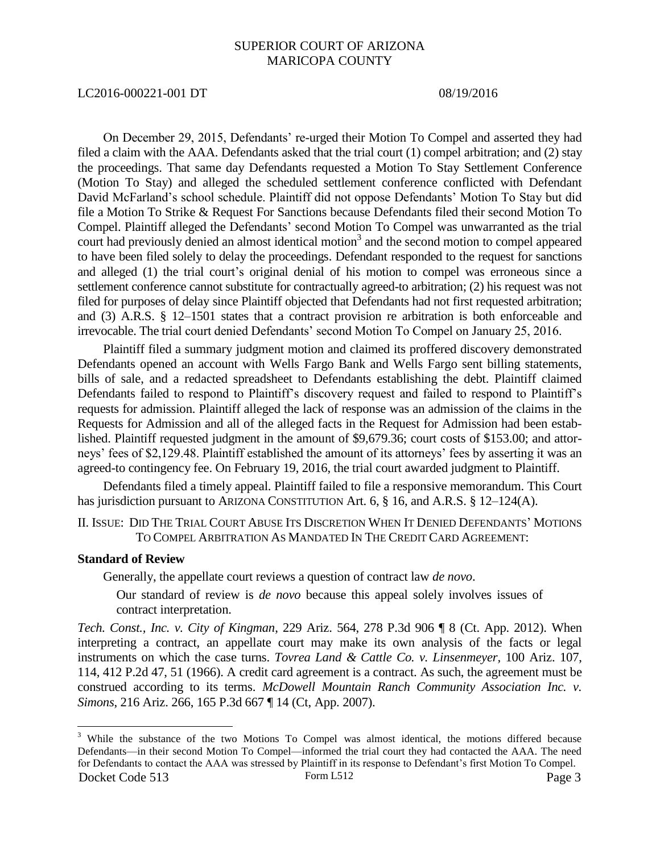#### LC2016-000221-001 DT 08/19/2016

On December 29, 2015, Defendants' re-urged their Motion To Compel and asserted they had filed a claim with the AAA. Defendants asked that the trial court (1) compel arbitration; and (2) stay the proceedings. That same day Defendants requested a Motion To Stay Settlement Conference (Motion To Stay) and alleged the scheduled settlement conference conflicted with Defendant David McFarland's school schedule. Plaintiff did not oppose Defendants' Motion To Stay but did file a Motion To Strike & Request For Sanctions because Defendants filed their second Motion To Compel. Plaintiff alleged the Defendants' second Motion To Compel was unwarranted as the trial court had previously denied an almost identical motion<sup>3</sup> and the second motion to compel appeared to have been filed solely to delay the proceedings. Defendant responded to the request for sanctions and alleged (1) the trial court's original denial of his motion to compel was erroneous since a settlement conference cannot substitute for contractually agreed-to arbitration; (2) his request was not filed for purposes of delay since Plaintiff objected that Defendants had not first requested arbitration; and (3) A.R.S. § 12–1501 states that a contract provision re arbitration is both enforceable and irrevocable. The trial court denied Defendants' second Motion To Compel on January 25, 2016.

Plaintiff filed a summary judgment motion and claimed its proffered discovery demonstrated Defendants opened an account with Wells Fargo Bank and Wells Fargo sent billing statements, bills of sale, and a redacted spreadsheet to Defendants establishing the debt. Plaintiff claimed Defendants failed to respond to Plaintiff's discovery request and failed to respond to Plaintiff's requests for admission. Plaintiff alleged the lack of response was an admission of the claims in the Requests for Admission and all of the alleged facts in the Request for Admission had been established. Plaintiff requested judgment in the amount of \$9,679.36; court costs of \$153.00; and attorneys' fees of \$2,129.48. Plaintiff established the amount of its attorneys' fees by asserting it was an agreed-to contingency fee. On February 19, 2016, the trial court awarded judgment to Plaintiff.

Defendants filed a timely appeal. Plaintiff failed to file a responsive memorandum. This Court has jurisdiction pursuant to ARIZONA CONSTITUTION Art. 6, § 16, and A.R.S. § 12–124(A).

II. ISSUE: DID THE TRIAL COURT ABUSE ITS DISCRETION WHEN IT DENIED DEFENDANTS' MOTIONS TO COMPEL ARBITRATION AS MANDATED IN THE CREDIT CARD AGREEMENT:

## **Standard of Review**

 $\overline{a}$ 

Generally, the appellate court reviews a question of contract law *de novo*.

Our standard of review is *de novo* because this appeal solely involves issues of contract interpretation.

*Tech. Const., Inc. v. City of Kingman*, 229 Ariz. 564, 278 P.3d 906 ¶ 8 (Ct. App. 2012). When interpreting a contract, an appellate court may make its own analysis of the facts or legal instruments on which the case turns. *Tovrea Land & Cattle Co. v. Linsenmeyer,* 100 Ariz. 107, 114, 412 P.2d 47, 51 (1966). A credit card agreement is a contract. As such, the agreement must be construed according to its terms. *McDowell Mountain Ranch Community Association Inc. v. Simons*, 216 Ariz. 266, 165 P.3d 667 ¶ 14 (Ct, App. 2007).

Docket Code 513 Form L512 Form L512 Page 3 <sup>3</sup> While the substance of the two Motions To Compel was almost identical, the motions differed because Defendants—in their second Motion To Compel—informed the trial court they had contacted the AAA. The need for Defendants to contact the AAA was stressed by Plaintiff in its response to Defendant's first Motion To Compel.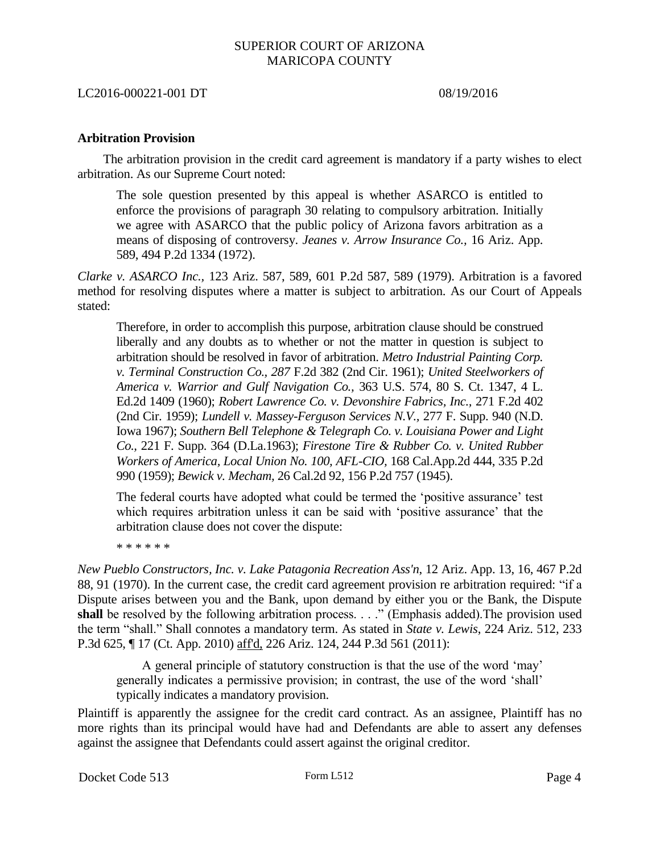#### LC2016-000221-001 DT 08/19/2016

#### **Arbitration Provision**

The arbitration provision in the credit card agreement is mandatory if a party wishes to elect arbitration. As our Supreme Court noted:

The sole question presented by this appeal is whether ASARCO is entitled to enforce the provisions of paragraph 30 relating to compulsory arbitration. Initially we agree with ASARCO that the public policy of Arizona favors arbitration as a means of disposing of controversy. *Jeanes v. Arrow Insurance Co.,* 16 Ariz. App. 589, 494 P.2d 1334 (1972).

*Clarke v. ASARCO Inc.,* 123 Ariz. 587, 589, 601 P.2d 587, 589 (1979). Arbitration is a favored method for resolving disputes where a matter is subject to arbitration. As our Court of Appeals stated:

Therefore, in order to accomplish this purpose, arbitration clause should be construed liberally and any doubts as to whether or not the matter in question is subject to arbitration should be resolved in favor of arbitration. *Metro Industrial Painting Corp. v. Terminal Construction Co., 287* F.2d 382 (2nd Cir. 1961); *United Steelworkers of America v. Warrior and Gulf Navigation Co.,* 363 U.S. 574, 80 S. Ct. 1347, 4 L. Ed.2d 1409 (1960); *Robert Lawrence Co. v. Devonshire Fabrics, Inc.,* 271 F.2d 402 (2nd Cir. 1959); *Lundell v. Massey-Ferguson Services N.V.,* 277 F. Supp. 940 (N.D. Iowa 1967); *Southern Bell Telephone & Telegraph Co. v. Louisiana Power and Light Co.,* 221 F. Supp. 364 (D.La.1963); *Firestone Tire & Rubber Co. v. United Rubber Workers of America, Local Union No. 100, AFL-CIO,* 168 Cal.App.2d 444, 335 P.2d 990 (1959); *Bewick v. Mecham,* 26 Cal.2d 92, 156 P.2d 757 (1945).

The federal courts have adopted what could be termed the 'positive assurance' test which requires arbitration unless it can be said with 'positive assurance' that the arbitration clause does not cover the dispute:

\* \* \* \* \* \*

*New Pueblo Constructors, Inc. v. Lake Patagonia Recreation Ass'n*, 12 Ariz. App. 13, 16, 467 P.2d 88, 91 (1970). In the current case, the credit card agreement provision re arbitration required: "if a Dispute arises between you and the Bank, upon demand by either you or the Bank, the Dispute shall be resolved by the following arbitration process. . . ." (Emphasis added). The provision used the term "shall." Shall connotes a mandatory term. As stated in *State v. Lewis*, 224 Ariz. 512, 233 P.3d 625, ¶ 17 (Ct. App. 2010) aff'd, 226 Ariz. 124, 244 P.3d 561 (2011):

A general principle of statutory construction is that the use of the word 'may' generally indicates a permissive provision; in contrast, the use of the word 'shall' typically indicates a mandatory provision.

Plaintiff is apparently the assignee for the credit card contract. As an assignee, Plaintiff has no more rights than its principal would have had and Defendants are able to assert any defenses against the assignee that Defendants could assert against the original creditor.

Docket Code 513 Form L512 Form L512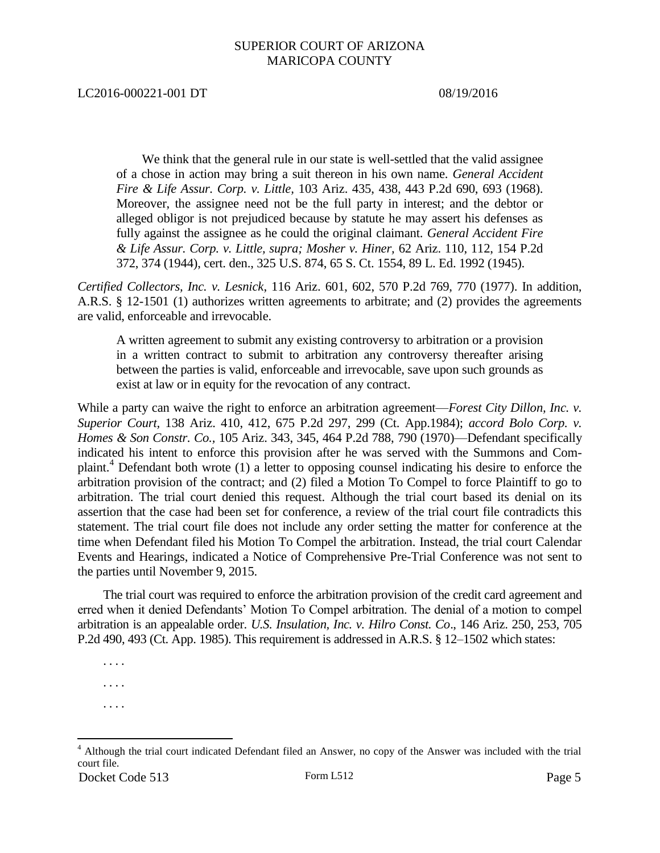LC2016-000221-001 DT 08/19/2016

We think that the general rule in our state is well-settled that the valid assignee of a chose in action may bring a suit thereon in his own name. *General Accident Fire & Life Assur. Corp. v. Little,* 103 Ariz. 435, 438, 443 P.2d 690, 693 (1968). Moreover, the assignee need not be the full party in interest; and the debtor or alleged obligor is not prejudiced because by statute he may assert his defenses as fully against the assignee as he could the original claimant. *General Accident Fire & Life Assur. Corp. v. Little, supra; Mosher v. Hiner,* 62 Ariz. 110, 112, 154 P.2d 372, 374 (1944), cert. den., 325 U.S. 874, 65 S. Ct. 1554, 89 L. Ed. 1992 (1945).

*Certified Collectors, Inc. v. Lesnick*, 116 Ariz. 601, 602, 570 P.2d 769, 770 (1977). In addition, A.R.S. § 12-1501 (1) authorizes written agreements to arbitrate; and (2) provides the agreements are valid, enforceable and irrevocable.

A written agreement to submit any existing controversy to arbitration or a provision in a written contract to submit to arbitration any controversy thereafter arising between the parties is valid, enforceable and irrevocable, save upon such grounds as exist at law or in equity for the revocation of any contract.

While a party can waive the right to enforce an arbitration agreement—*Forest City Dillon, Inc. v. Superior Court,* 138 Ariz. 410, 412, 675 P.2d 297, 299 (Ct. App.1984); *accord Bolo Corp. v. Homes & Son Constr. Co.,* 105 Ariz. 343, 345, 464 P.2d 788, 790 (1970)—Defendant specifically indicated his intent to enforce this provision after he was served with the Summons and Complaint.<sup>4</sup> Defendant both wrote (1) a letter to opposing counsel indicating his desire to enforce the arbitration provision of the contract; and (2) filed a Motion To Compel to force Plaintiff to go to arbitration. The trial court denied this request. Although the trial court based its denial on its assertion that the case had been set for conference, a review of the trial court file contradicts this statement. The trial court file does not include any order setting the matter for conference at the time when Defendant filed his Motion To Compel the arbitration. Instead, the trial court Calendar Events and Hearings, indicated a Notice of Comprehensive Pre-Trial Conference was not sent to the parties until November 9, 2015.

The trial court was required to enforce the arbitration provision of the credit card agreement and erred when it denied Defendants' Motion To Compel arbitration. The denial of a motion to compel arbitration is an appealable order. *U.S. Insulation, Inc. v. Hilro Const. Co*., 146 Ariz. 250, 253, 705 P.2d 490, 493 (Ct. App. 1985). This requirement is addressed in A.R.S. § 12–1502 which states:

. . . . . . . . . . . .

 $\overline{a}$ 

Docket Code 513 Form L512 Form L512 Page 5 <sup>4</sup> Although the trial court indicated Defendant filed an Answer, no copy of the Answer was included with the trial court file.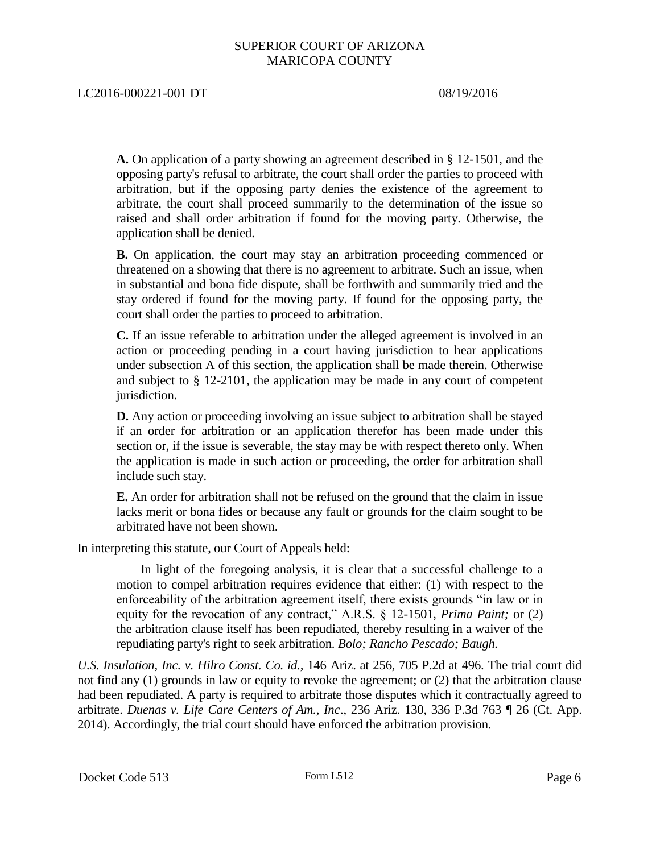**A.** On application of a party showing an agreement described in § 12-1501, and the opposing party's refusal to arbitrate, the court shall order the parties to proceed with arbitration, but if the opposing party denies the existence of the agreement to arbitrate, the court shall proceed summarily to the determination of the issue so raised and shall order arbitration if found for the moving party. Otherwise, the application shall be denied.

**B.** On application, the court may stay an arbitration proceeding commenced or threatened on a showing that there is no agreement to arbitrate. Such an issue, when in substantial and bona fide dispute, shall be forthwith and summarily tried and the stay ordered if found for the moving party. If found for the opposing party, the court shall order the parties to proceed to arbitration.

**C.** If an issue referable to arbitration under the alleged agreement is involved in an action or proceeding pending in a court having jurisdiction to hear applications under subsection A of this section, the application shall be made therein. Otherwise and subject to § 12-2101, the application may be made in any court of competent jurisdiction.

**D.** Any action or proceeding involving an issue subject to arbitration shall be stayed if an order for arbitration or an application therefor has been made under this section or, if the issue is severable, the stay may be with respect thereto only. When the application is made in such action or proceeding, the order for arbitration shall include such stay.

**E.** An order for arbitration shall not be refused on the ground that the claim in issue lacks merit or bona fides or because any fault or grounds for the claim sought to be arbitrated have not been shown.

In interpreting this statute, our Court of Appeals held:

In light of the foregoing analysis, it is clear that a successful challenge to a motion to compel arbitration requires evidence that either: (1) with respect to the enforceability of the arbitration agreement itself, there exists grounds "in law or in equity for the revocation of any contract," A.R.S. § 12-1501, *Prima Paint;* or (2) the arbitration clause itself has been repudiated, thereby resulting in a waiver of the repudiating party's right to seek arbitration. *Bolo; Rancho Pescado; Baugh.*

*U.S. Insulation, Inc. v. Hilro Const. Co. id.,* 146 Ariz. at 256, 705 P.2d at 496. The trial court did not find any (1) grounds in law or equity to revoke the agreement; or (2) that the arbitration clause had been repudiated. A party is required to arbitrate those disputes which it contractually agreed to arbitrate. *Duenas v. Life Care Centers of Am., Inc*., 236 Ariz. 130, 336 P.3d 763 ¶ 26 (Ct. App. 2014). Accordingly, the trial court should have enforced the arbitration provision.